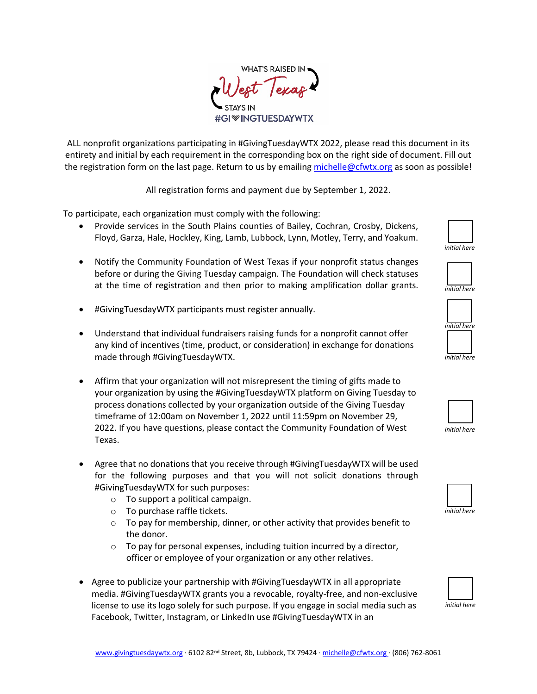

ALL nonprofit organizations participating in #GivingTuesdayWTX 2022, please read this document in its entirety and initial by each requirement in the corresponding box on the right side of document. Fill out the registration form on the last page. Return to us by emailing [michelle@cfwtx.org](mailto:michelle@cfwtx.org) as soon as possible!

All registration forms and payment due by September 1, 2022.

To participate, each organization must comply with the following:

- Provide services in the South Plains counties of Bailey, Cochran, Crosby, Dickens, Floyd, Garza, Hale, Hockley, King, Lamb, Lubbock, Lynn, Motley, Terry, and Yoakum.
- Notify the Community Foundation of West Texas if your nonprofit status changes before or during the Giving Tuesday campaign. The Foundation will check statuses at the time of registration and then prior to making amplification dollar grants.
- #GivingTuesdayWTX participants must register annually.
- Understand that individual fundraisers raising funds for a nonprofit cannot offer any kind of incentives (time, product, or consideration) in exchange for donations made through #GivingTuesdayWTX.
- Affirm that your organization will not misrepresent the timing of gifts made to your organization by using the #GivingTuesdayWTX platform on Giving Tuesday to process donations collected by your organization outside of the Giving Tuesday timeframe of 12:00am on November 1, 2022 until 11:59pm on November 29, 2022. If you have questions, please contact the Community Foundation of West Texas.
- Agree that no donations that you receive through #GivingTuesdayWTX will be used for the following purposes and that you will not solicit donations through #GivingTuesdayWTX for such purposes:
	- o To support a political campaign.
	- o To purchase raffle tickets.
	- $\circ$  To pay for membership, dinner, or other activity that provides benefit to the donor.
	- $\circ$  To pay for personal expenses, including tuition incurred by a director, officer or employee of your organization or any other relatives.
- Agree to publicize your partnership with #GivingTuesdayWTX in all appropriate media. #GivingTuesdayWTX grants you a revocable, royalty-free, and non-exclusive license to use its logo solely for such purpose. If you engage in social media such as Facebook, Twitter, Instagram, or LinkedIn use #GivingTuesdayWTX in an











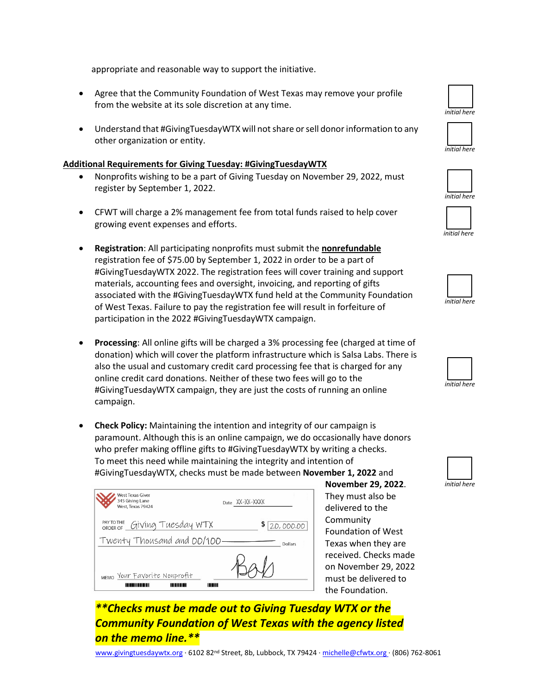[www.givingtuesdaywtx.org](http://www.givingtuesdaywtx.org/) · 6102 82nd Street, 8b, Lubbock, TX 79424 [· michelle@cfwtx.org](mailto:michelle@cfwtx.org) · (806) 762-8061

*\*\*Checks must be made out to Giving Tuesday WTX or the Community Foundation of West Texas with the agency listed* 

appropriate and reasonable way to support the initiative.

- Agree that the Community Foundation of West Texas may remove your profile from the website at its sole discretion at any time.
- Understand that #GivingTuesdayWTX will not share or sell donor information to any other organization or entity.

## **Additional Requirements for Giving Tuesday: #GivingTuesdayWTX**

- Nonprofits wishing to be a part of Giving Tuesday on November 29, 2022, must register by September 1, 2022.
- CFWT will charge a 2% management fee from total funds raised to help cover growing event expenses and efforts.
- **Registration**: All participating nonprofits must submit the **nonrefundable** registration fee of \$75.00 by September 1, 2022 in order to be a part of #GivingTuesdayWTX 2022. The registration fees will cover training and support materials, accounting fees and oversight, invoicing, and reporting of gifts associated with the #GivingTuesdayWTX fund held at the Community Foundation of West Texas. Failure to pay the registration fee will result in forfeiture of participation in the 2022 #GivingTuesdayWTX campaign.
- **Processing**: All online gifts will be charged a 3% processing fee (charged at time of donation) which will cover the platform infrastructure which is Salsa Labs. There is also the usual and customary credit card processing fee that is charged for any online credit card donations. Neither of these two fees will go to the #GivingTuesdayWTX campaign, they are just the costs of running an online campaign.
- **Check Policy:** Maintaining the intention and integrity of our campaign is paramount. Although this is an online campaign, we do occasionally have donors who prefer making offline gifts to #GivingTuesdayWTX by writing a checks. To meet this need while maintaining the integrity and intention of #GivingTuesdayWTX, checks must be made between **November 1, 2022** and

| West Texas Giver<br>345 Giving Lane<br>West, Texas 79424 | Date XX-XX-XXXX |
|----------------------------------------------------------|-----------------|
| PAYTOTHE GIVING TUESday WTX                              | Ş.<br>20,000.00 |
| Twenty Thousand and 00/100.                              | Dollars         |
| MEMO YOUr FAVorite Nonprofit                             |                 |

*on the memo line.\*\**

**November 29, 2022**. They must also be delivered to the Community Foundation of West Texas when they are received. Checks made on November 29, 2022 must be delivered to the Foundation.















*initial here*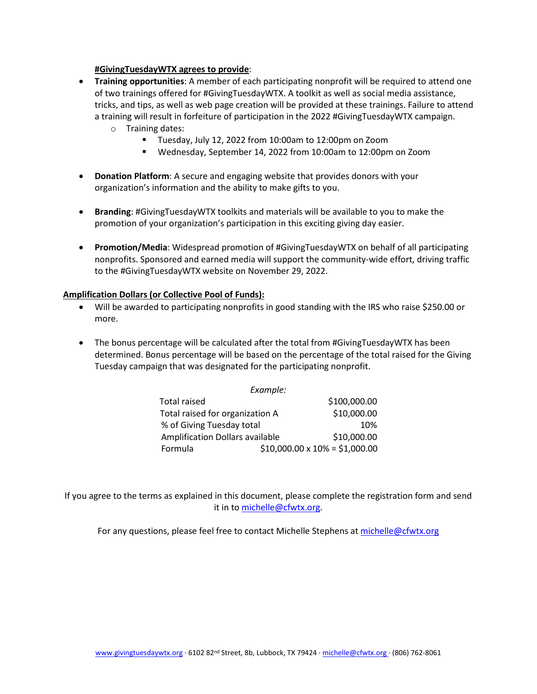## **#GivingTuesdayWTX agrees to provide**:

- **Training opportunities**: A member of each participating nonprofit will be required to attend one of two trainings offered for #GivingTuesdayWTX. A toolkit as well as social media assistance, tricks, and tips, as well as web page creation will be provided at these trainings. Failure to attend a training will result in forfeiture of participation in the 2022 #GivingTuesdayWTX campaign.
	- o Training dates:<br>Fuesda
		- Tuesday, July 12, 2022 from 10:00am to 12:00pm on Zoom
		- Wednesday, September 14, 2022 from 10:00am to 12:00pm on Zoom
- **Donation Platform**: A secure and engaging website that provides donors with your organization's information and the ability to make gifts to you.
- **Branding**: #GivingTuesdayWTX toolkits and materials will be available to you to make the promotion of your organization's participation in this exciting giving day easier.
- **Promotion/Media**: Widespread promotion of #GivingTuesdayWTX on behalf of all participating nonprofits. Sponsored and earned media will support the community-wide effort, driving traffic to the #GivingTuesdayWTX website on November 29, 2022.

## **Amplification Dollars (or Collective Pool of Funds):**

- Will be awarded to participating nonprofits in good standing with the IRS who raise \$250.00 or more.
- The bonus percentage will be calculated after the total from #GivingTuesdayWTX has been determined. Bonus percentage will be based on the percentage of the total raised for the Giving Tuesday campaign that was designated for the participating nonprofit.

| Example:                               |  |                                      |  |  |  |  |
|----------------------------------------|--|--------------------------------------|--|--|--|--|
| <b>Total raised</b>                    |  | \$100,000.00                         |  |  |  |  |
| Total raised for organization A        |  | \$10,000.00                          |  |  |  |  |
| % of Giving Tuesday total              |  | 10%                                  |  |  |  |  |
| <b>Amplification Dollars available</b> |  | \$10,000.00                          |  |  |  |  |
| Formula                                |  | $$10,000.00 \times 10\% = $1,000.00$ |  |  |  |  |

If you agree to the terms as explained in this document, please complete the registration form and send it in t[o michelle@cfwtx.org.](mailto:michelle@cfwtx.org)

For any questions, please feel free to contact Michelle Stephens at [michelle@cfwtx.org](mailto:michelle@cfwtx.org)